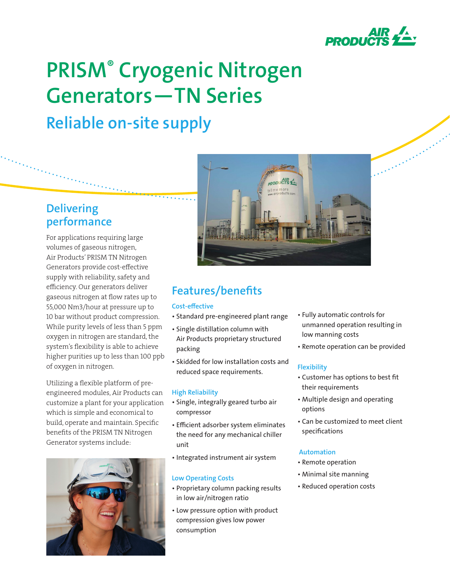

# **PRISM® Cryogenic Nitrogen Generators—TN Series Reliable on-site supply**

# **Delivering performance**

For applications requiring large volumes of gaseous nitrogen, Air Products' PRISM TN Nitrogen Generators provide cost-effective supply with reliability, safety and efficiency. Our generators deliver gaseous nitrogen at flow rates up to 55,000 Nm3/hour at pressure up to 10 bar without product compression. While purity levels of less than 5 ppm oxygen in nitrogen are standard, the system's flexibility is able to achieve higher purities up to less than 100 ppb of oxygen in nitrogen.

Utilizing a flexible platform of preengineered modules, Air Products can customize a plant for your application which is simple and economical to build, operate and maintain. Specific benefits of the PRISM TN Nitrogen Generator systems include:





# **Features/benefits**

## **Cost-effective**

- Standard pre-engineered plant range
- Single distillation column with Air Products proprietary structured packing
- Skidded for low installation costs and reduced space requirements.

## **High Reliability**

- Single, integrally geared turbo air compressor
- Efficient adsorber system eliminates the need for any mechanical chiller unit
- Integrated instrument air system

## **Low Operating Costs**

- Proprietary column packing results in low air/nitrogen ratio
- Low pressure option with product compression gives low power consumption
- Fully automatic controls for unmanned operation resulting in low manning costs
- Remote operation can be provided

# **Flexibility**

- Customer has options to best fit their requirements
- Multiple design and operating options
- Can be customized to meet client specifications

## **Automation**

- Remote operation
- Minimal site manning
- Reduced operation costs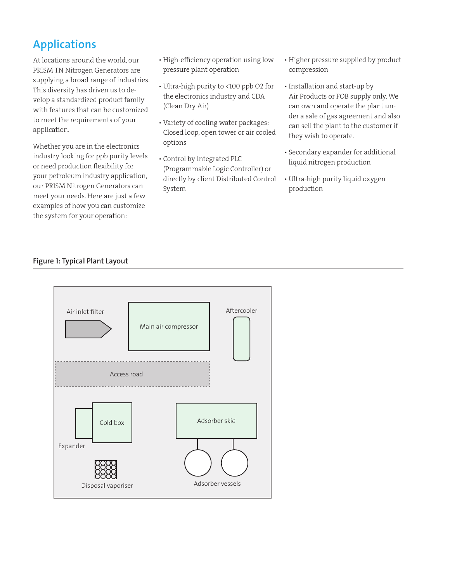# **Applications**

At locations around the world, our PRISM TN Nitrogen Generators are supplying a broad range of industries. This diversity has driven us to develop a standardized product family with features that can be customized to meet the requirements of your application.

Whether you are in the electronics industry looking for ppb purity levels or need production flexibility for your petroleum industry application, our PRISM Nitrogen Generators can meet your needs. Here are just a few examples of how you can customize the system for your operation:

- High-efficiency operation using low pressure plant operation
- Ultra-high purity to <100 ppb O2 for the electronics industry and CDA (Clean Dry Air)
- Variety of cooling water packages: Closed loop, open tower or air cooled options
- Control by integrated PLC (Programmable Logic Controller) or directly by client Distributed Control System
- Higher pressure supplied by product compression
- Installation and start-up by Air Products or FOB supply only. We can own and operate the plant under a sale of gas agreement and also can sell the plant to the customer if they wish to operate.
- Secondary expander for additional liquid nitrogen production
- Ultra-high purity liquid oxygen production

## **Figure 1: Typical Plant Layout**

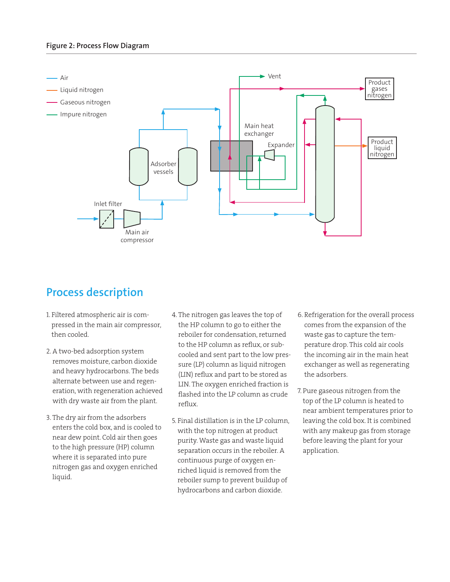

# **Process description**

- 1. Filtered atmospheric air is compressed in the main air compressor, then cooled.
- 2. A two-bed adsorption system removes moisture, carbon dioxide and heavy hydrocarbons. The beds alternate between use and regeneration, with regeneration achieved with dry waste air from the plant.
- 3. The dry air from the adsorbers enters the cold box, and is cooled to near dew point. Cold air then goes to the high pressure (HP) column where it is separated into pure nitrogen gas and oxygen enriched liquid.
- 4. The nitrogen gas leaves the top of the HP column to go to either the reboiler for condensation, returned to the HP column as reflux, or subcooled and sent part to the low pressure (LP) column as liquid nitrogen (LIN) reflux and part to be stored as LIN. The oxygen enriched fraction is flashed into the LP column as crude reflux.
- 5. Final distillation is in the LP column, with the top nitrogen at product purity. Waste gas and waste liquid separation occurs in the reboiler. A continuous purge of oxygen enriched liquid is removed from the reboiler sump to prevent buildup of hydrocarbons and carbon dioxide.
- 6. Refrigeration for the overall process comes from the expansion of the waste gas to capture the temperature drop. This cold air cools the incoming air in the main heat exchanger as well as regenerating the adsorbers.
- 7. Pure gaseous nitrogen from the top of the LP column is heated to near ambient temperatures prior to leaving the cold box. It is combined with any makeup gas from storage before leaving the plant for your application.